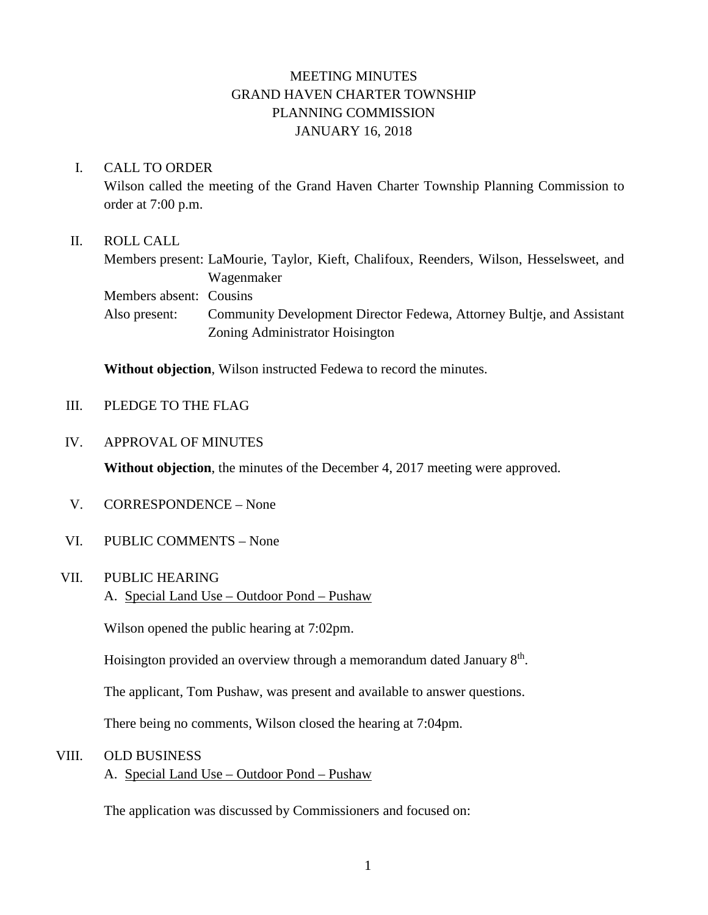# MEETING MINUTES GRAND HAVEN CHARTER TOWNSHIP PLANNING COMMISSION JANUARY 16, 2018

### I. CALL TO ORDER

Wilson called the meeting of the Grand Haven Charter Township Planning Commission to order at 7:00 p.m.

### II. ROLL CALL

Members present: LaMourie, Taylor, Kieft, Chalifoux, Reenders, Wilson, Hesselsweet, and Wagenmaker Members absent: Cousins

Also present: Community Development Director Fedewa, Attorney Bultje, and Assistant Zoning Administrator Hoisington

**Without objection**, Wilson instructed Fedewa to record the minutes.

## III. PLEDGE TO THE FLAG

#### IV. APPROVAL OF MINUTES

**Without objection**, the minutes of the December 4, 2017 meeting were approved.

- V. CORRESPONDENCE None
- VI. PUBLIC COMMENTS None

#### VII. PUBLIC HEARING

A. Special Land Use – Outdoor Pond – Pushaw

Wilson opened the public hearing at 7:02pm.

Hoisington provided an overview through a memorandum dated January  $8<sup>th</sup>$ .

The applicant, Tom Pushaw, was present and available to answer questions.

There being no comments, Wilson closed the hearing at 7:04pm.

### VIII. OLD BUSINESS

A. Special Land Use – Outdoor Pond – Pushaw

The application was discussed by Commissioners and focused on: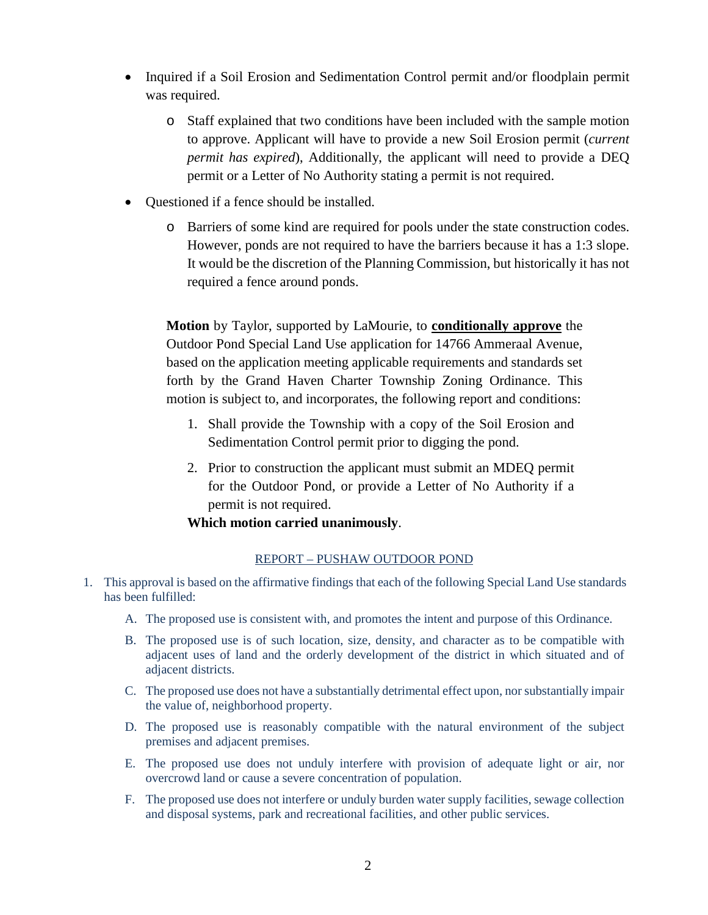- Inquired if a Soil Erosion and Sedimentation Control permit and/or floodplain permit was required.
	- o Staff explained that two conditions have been included with the sample motion to approve. Applicant will have to provide a new Soil Erosion permit (*current permit has expired*), Additionally, the applicant will need to provide a DEQ permit or a Letter of No Authority stating a permit is not required.
- Questioned if a fence should be installed.
	- o Barriers of some kind are required for pools under the state construction codes. However, ponds are not required to have the barriers because it has a 1:3 slope. It would be the discretion of the Planning Commission, but historically it has not required a fence around ponds.

**Motion** by Taylor, supported by LaMourie, to **conditionally approve** the Outdoor Pond Special Land Use application for 14766 Ammeraal Avenue, based on the application meeting applicable requirements and standards set forth by the Grand Haven Charter Township Zoning Ordinance. This motion is subject to, and incorporates, the following report and conditions:

- 1. Shall provide the Township with a copy of the Soil Erosion and Sedimentation Control permit prior to digging the pond.
- 2. Prior to construction the applicant must submit an MDEQ permit for the Outdoor Pond, or provide a Letter of No Authority if a permit is not required.

### **Which motion carried unanimously**.

### REPORT – PUSHAW OUTDOOR POND

- 1. This approval is based on the affirmative findings that each of the following Special Land Use standards has been fulfilled:
	- A. The proposed use is consistent with, and promotes the intent and purpose of this Ordinance.
	- B. The proposed use is of such location, size, density, and character as to be compatible with adjacent uses of land and the orderly development of the district in which situated and of adjacent districts.
	- C. The proposed use does not have a substantially detrimental effect upon, nor substantially impair the value of, neighborhood property.
	- D. The proposed use is reasonably compatible with the natural environment of the subject premises and adjacent premises.
	- E. The proposed use does not unduly interfere with provision of adequate light or air, nor overcrowd land or cause a severe concentration of population.
	- F. The proposed use does not interfere or unduly burden water supply facilities, sewage collection and disposal systems, park and recreational facilities, and other public services.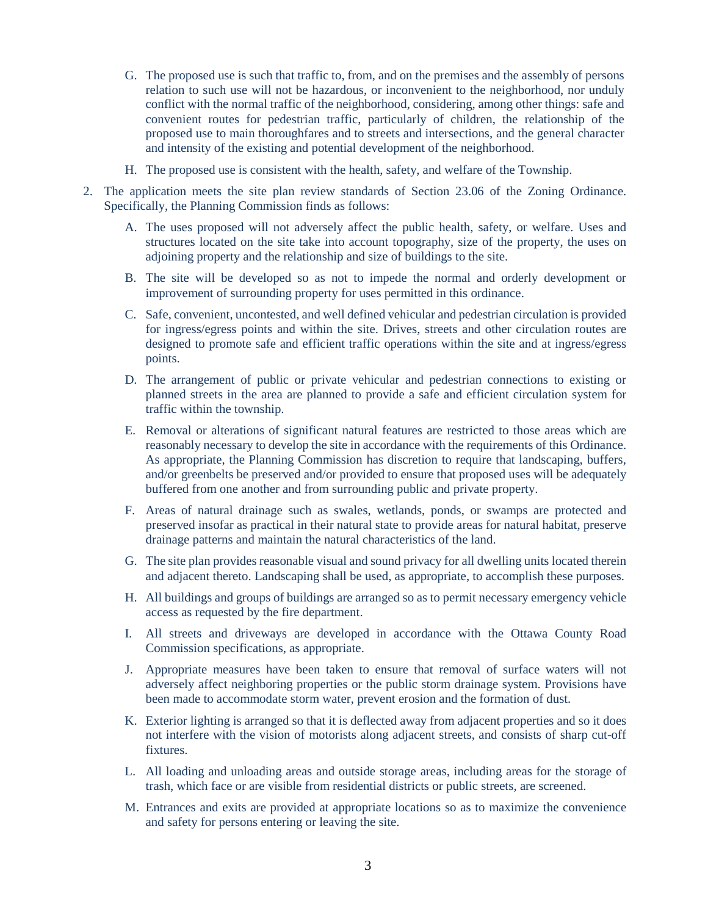- G. The proposed use is such that traffic to, from, and on the premises and the assembly of persons relation to such use will not be hazardous, or inconvenient to the neighborhood, nor unduly conflict with the normal traffic of the neighborhood, considering, among other things: safe and convenient routes for pedestrian traffic, particularly of children, the relationship of the proposed use to main thoroughfares and to streets and intersections, and the general character and intensity of the existing and potential development of the neighborhood.
- H. The proposed use is consistent with the health, safety, and welfare of the Township.
- 2. The application meets the site plan review standards of Section 23.06 of the Zoning Ordinance. Specifically, the Planning Commission finds as follows:
	- A. The uses proposed will not adversely affect the public health, safety, or welfare. Uses and structures located on the site take into account topography, size of the property, the uses on adjoining property and the relationship and size of buildings to the site.
	- B. The site will be developed so as not to impede the normal and orderly development or improvement of surrounding property for uses permitted in this ordinance.
	- C. Safe, convenient, uncontested, and well defined vehicular and pedestrian circulation is provided for ingress/egress points and within the site. Drives, streets and other circulation routes are designed to promote safe and efficient traffic operations within the site and at ingress/egress points.
	- D. The arrangement of public or private vehicular and pedestrian connections to existing or planned streets in the area are planned to provide a safe and efficient circulation system for traffic within the township.
	- E. Removal or alterations of significant natural features are restricted to those areas which are reasonably necessary to develop the site in accordance with the requirements of this Ordinance. As appropriate, the Planning Commission has discretion to require that landscaping, buffers, and/or greenbelts be preserved and/or provided to ensure that proposed uses will be adequately buffered from one another and from surrounding public and private property.
	- F. Areas of natural drainage such as swales, wetlands, ponds, or swamps are protected and preserved insofar as practical in their natural state to provide areas for natural habitat, preserve drainage patterns and maintain the natural characteristics of the land.
	- G. The site plan provides reasonable visual and sound privacy for all dwelling units located therein and adjacent thereto. Landscaping shall be used, as appropriate, to accomplish these purposes.
	- H. All buildings and groups of buildings are arranged so as to permit necessary emergency vehicle access as requested by the fire department.
	- I. All streets and driveways are developed in accordance with the Ottawa County Road Commission specifications, as appropriate.
	- J. Appropriate measures have been taken to ensure that removal of surface waters will not adversely affect neighboring properties or the public storm drainage system. Provisions have been made to accommodate storm water, prevent erosion and the formation of dust.
	- K. Exterior lighting is arranged so that it is deflected away from adjacent properties and so it does not interfere with the vision of motorists along adjacent streets, and consists of sharp cut-off fixtures.
	- L. All loading and unloading areas and outside storage areas, including areas for the storage of trash, which face or are visible from residential districts or public streets, are screened.
	- M. Entrances and exits are provided at appropriate locations so as to maximize the convenience and safety for persons entering or leaving the site.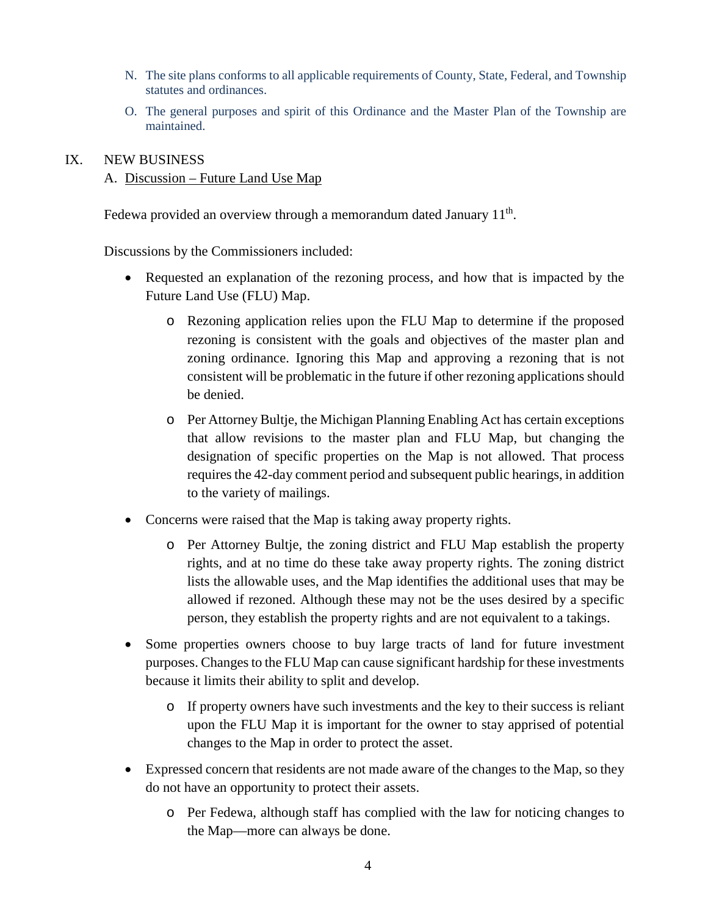- N. The site plans conforms to all applicable requirements of County, State, Federal, and Township statutes and ordinances.
- O. The general purposes and spirit of this Ordinance and the Master Plan of the Township are maintained.

#### IX. NEW BUSINESS

### A. Discussion – Future Land Use Map

Fedewa provided an overview through a memorandum dated January  $11<sup>th</sup>$ .

Discussions by the Commissioners included:

- Requested an explanation of the rezoning process, and how that is impacted by the Future Land Use (FLU) Map.
	- o Rezoning application relies upon the FLU Map to determine if the proposed rezoning is consistent with the goals and objectives of the master plan and zoning ordinance. Ignoring this Map and approving a rezoning that is not consistent will be problematic in the future if other rezoning applications should be denied.
	- o Per Attorney Bultje, the Michigan Planning Enabling Act has certain exceptions that allow revisions to the master plan and FLU Map, but changing the designation of specific properties on the Map is not allowed. That process requires the 42-day comment period and subsequent public hearings, in addition to the variety of mailings.
- Concerns were raised that the Map is taking away property rights.
	- o Per Attorney Bultje, the zoning district and FLU Map establish the property rights, and at no time do these take away property rights. The zoning district lists the allowable uses, and the Map identifies the additional uses that may be allowed if rezoned. Although these may not be the uses desired by a specific person, they establish the property rights and are not equivalent to a takings.
- Some properties owners choose to buy large tracts of land for future investment purposes. Changes to the FLU Map can cause significant hardship for these investments because it limits their ability to split and develop.
	- o If property owners have such investments and the key to their success is reliant upon the FLU Map it is important for the owner to stay apprised of potential changes to the Map in order to protect the asset.
- Expressed concern that residents are not made aware of the changes to the Map, so they do not have an opportunity to protect their assets.
	- o Per Fedewa, although staff has complied with the law for noticing changes to the Map—more can always be done.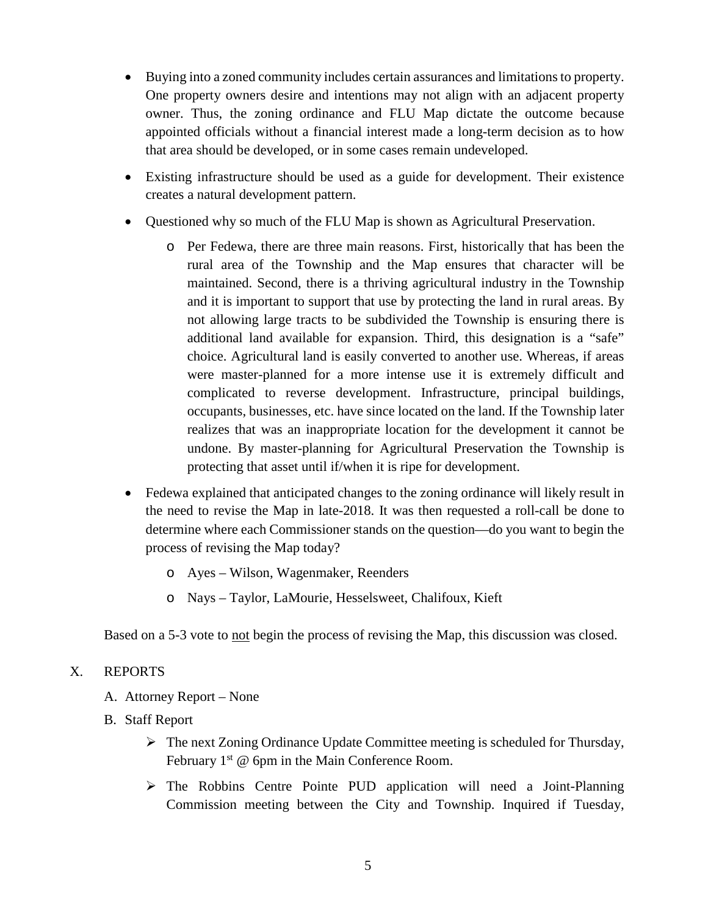- Buying into a zoned community includes certain assurances and limitations to property. One property owners desire and intentions may not align with an adjacent property owner. Thus, the zoning ordinance and FLU Map dictate the outcome because appointed officials without a financial interest made a long-term decision as to how that area should be developed, or in some cases remain undeveloped.
- Existing infrastructure should be used as a guide for development. Their existence creates a natural development pattern.
- Questioned why so much of the FLU Map is shown as Agricultural Preservation.
	- o Per Fedewa, there are three main reasons. First, historically that has been the rural area of the Township and the Map ensures that character will be maintained. Second, there is a thriving agricultural industry in the Township and it is important to support that use by protecting the land in rural areas. By not allowing large tracts to be subdivided the Township is ensuring there is additional land available for expansion. Third, this designation is a "safe" choice. Agricultural land is easily converted to another use. Whereas, if areas were master-planned for a more intense use it is extremely difficult and complicated to reverse development. Infrastructure, principal buildings, occupants, businesses, etc. have since located on the land. If the Township later realizes that was an inappropriate location for the development it cannot be undone. By master-planning for Agricultural Preservation the Township is protecting that asset until if/when it is ripe for development.
- Fedewa explained that anticipated changes to the zoning ordinance will likely result in the need to revise the Map in late-2018. It was then requested a roll-call be done to determine where each Commissioner stands on the question—do you want to begin the process of revising the Map today?
	- o Ayes Wilson, Wagenmaker, Reenders
	- o Nays Taylor, LaMourie, Hesselsweet, Chalifoux, Kieft

Based on a 5-3 vote to not begin the process of revising the Map, this discussion was closed.

## X. REPORTS

- A. Attorney Report None
- B. Staff Report
	- The next Zoning Ordinance Update Committee meeting is scheduled for Thursday, February  $1<sup>st</sup>$  @ 6pm in the Main Conference Room.
	- The Robbins Centre Pointe PUD application will need a Joint-Planning Commission meeting between the City and Township. Inquired if Tuesday,